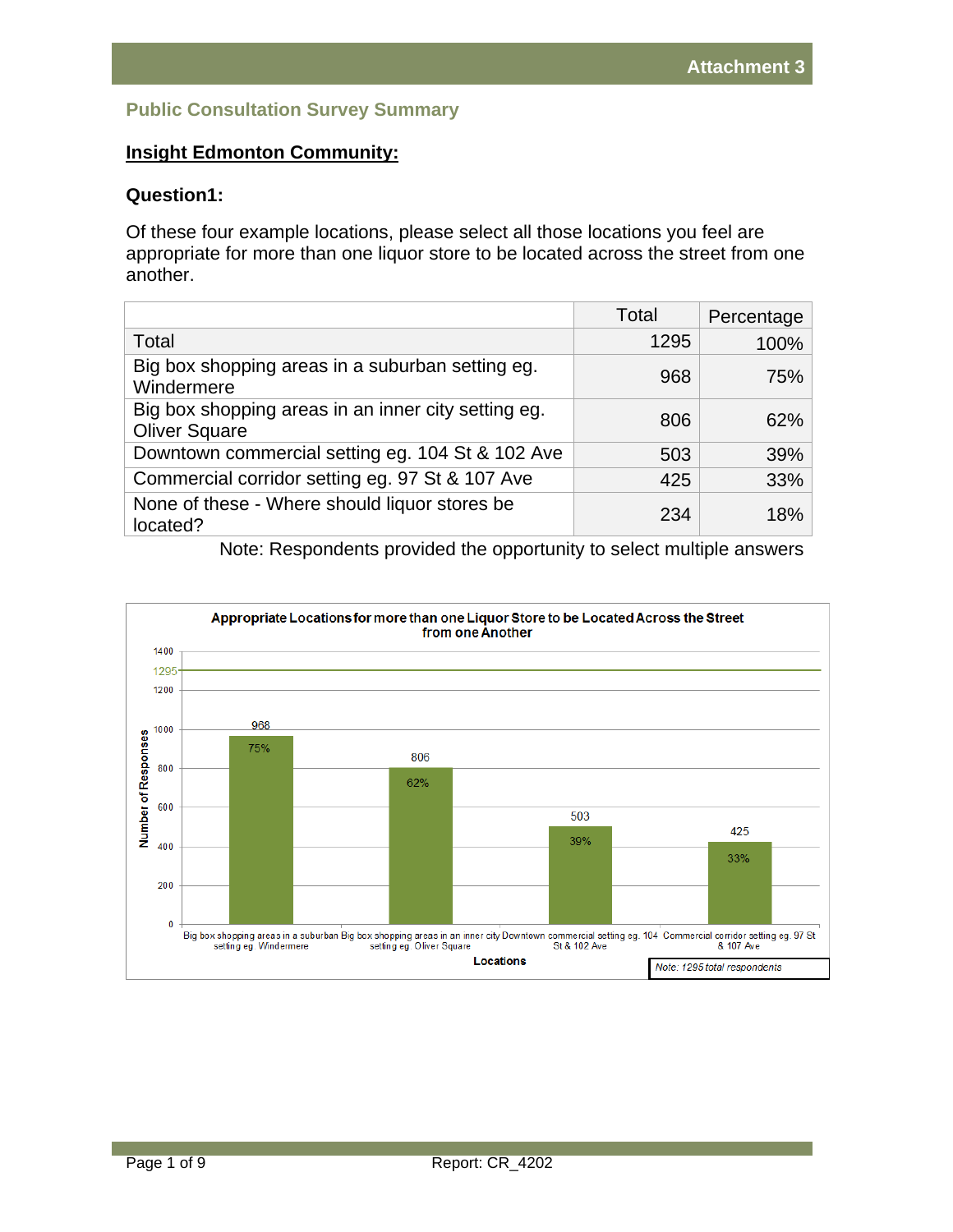# **Public Consultation Survey Summary**

# **Insight Edmonton Community:**

#### **Question1:**

Of these four example locations, please select all those locations you feel are appropriate for more than one liquor store to be located across the street from one another.

|                                                                             | Total | Percentage |
|-----------------------------------------------------------------------------|-------|------------|
| Total                                                                       | 1295  | 100%       |
| Big box shopping areas in a suburban setting eg.<br>Windermere              | 968   | 75%        |
| Big box shopping areas in an inner city setting eg.<br><b>Oliver Square</b> | 806   | 62%        |
| Downtown commercial setting eg. 104 St & 102 Ave                            | 503   | 39%        |
| Commercial corridor setting eg. 97 St & 107 Ave                             | 425   | 33%        |
| None of these - Where should liquor stores be<br>located?                   | 234   | 18%        |

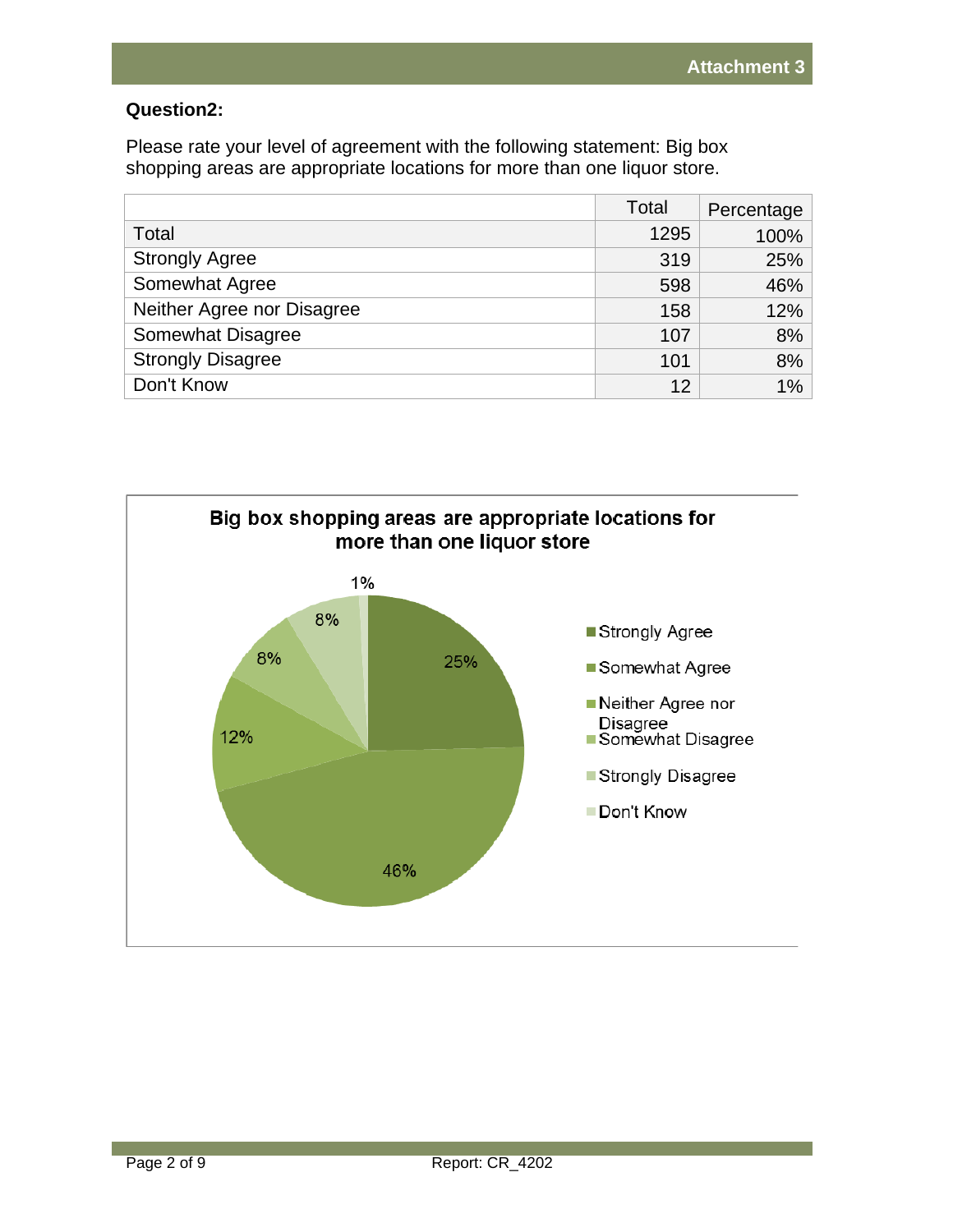## **Question2:**

Please rate your level of agreement with the following statement: Big box shopping areas are appropriate locations for more than one liquor store.

|                            | Total | Percentage |
|----------------------------|-------|------------|
| Total                      | 1295  | 100%       |
| <b>Strongly Agree</b>      | 319   | 25%        |
| Somewhat Agree             | 598   | 46%        |
| Neither Agree nor Disagree | 158   | 12%        |
| Somewhat Disagree          | 107   | 8%         |
| <b>Strongly Disagree</b>   | 101   | 8%         |
| Don't Know                 | 12    | $1\%$      |

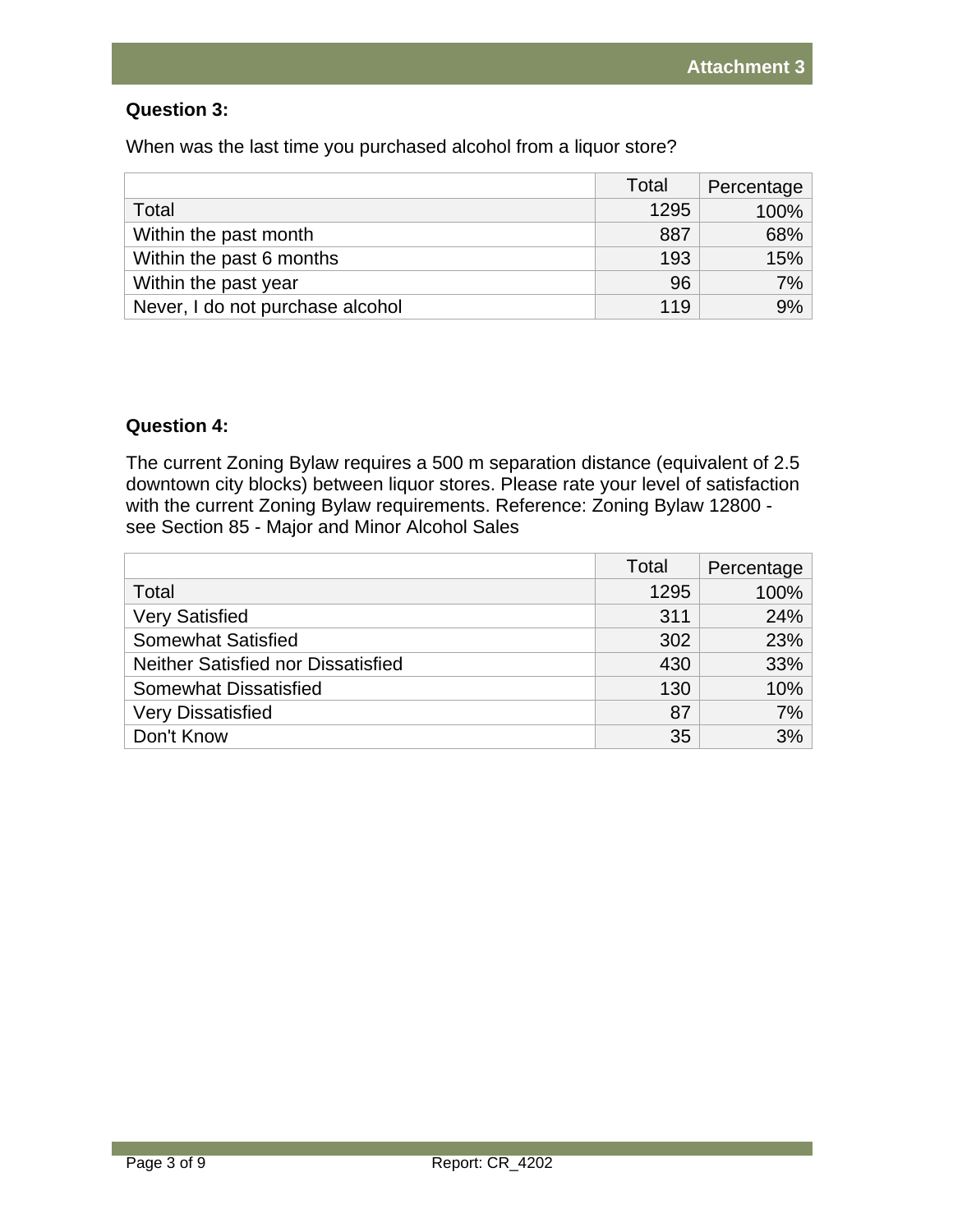### **Question 3:**

When was the last time you purchased alcohol from a liquor store?

|                                  | Total | Percentage |
|----------------------------------|-------|------------|
| Total                            | 1295  | 100%       |
| Within the past month            | 887   | 68%        |
| Within the past 6 months         | 193   | 15%        |
| Within the past year             | 96    | 7%         |
| Never, I do not purchase alcohol | 119   | 9%         |

## **Question 4:**

The current Zoning Bylaw requires a 500 m separation distance (equivalent of 2.5 downtown city blocks) between liquor stores. Please rate your level of satisfaction with the current Zoning Bylaw requirements. Reference: Zoning Bylaw 12800 see Section 85 - Major and Minor Alcohol Sales

|                                    | Total | Percentage |
|------------------------------------|-------|------------|
| Total                              | 1295  | 100%       |
| <b>Very Satisfied</b>              | 311   | 24%        |
| <b>Somewhat Satisfied</b>          | 302   | 23%        |
| Neither Satisfied nor Dissatisfied | 430   | 33%        |
| <b>Somewhat Dissatisfied</b>       | 130   | 10%        |
| <b>Very Dissatisfied</b>           | 87    | 7%         |
| Don't Know                         | 35    | 3%         |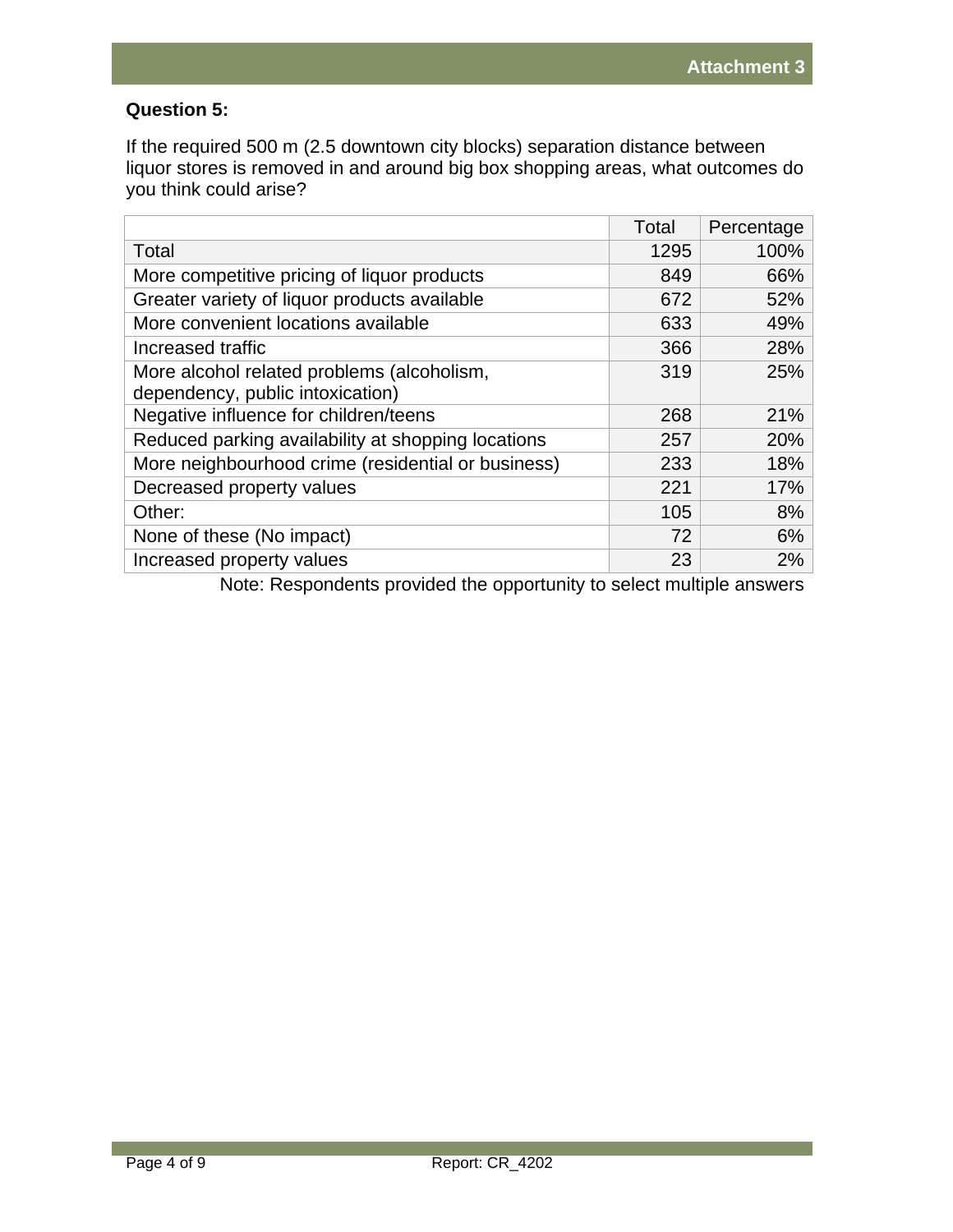# **Question 5:**

If the required 500 m (2.5 downtown city blocks) separation distance between liquor stores is removed in and around big box shopping areas, what outcomes do you think could arise?

|                                                    | Total | Percentage |
|----------------------------------------------------|-------|------------|
| Total                                              | 1295  | 100%       |
| More competitive pricing of liquor products        | 849   | 66%        |
| Greater variety of liquor products available       | 672   | 52%        |
| More convenient locations available                | 633   | 49%        |
| Increased traffic                                  | 366   | 28%        |
| More alcohol related problems (alcoholism,         | 319   | 25%        |
| dependency, public intoxication)                   |       |            |
| Negative influence for children/teens              | 268   | 21%        |
| Reduced parking availability at shopping locations | 257   | 20%        |
| More neighbourhood crime (residential or business) | 233   | 18%        |
| Decreased property values                          | 221   | 17%        |
| Other:                                             | 105   | 8%         |
| None of these (No impact)                          | 72    | 6%         |
| Increased property values                          | 23    | 2%         |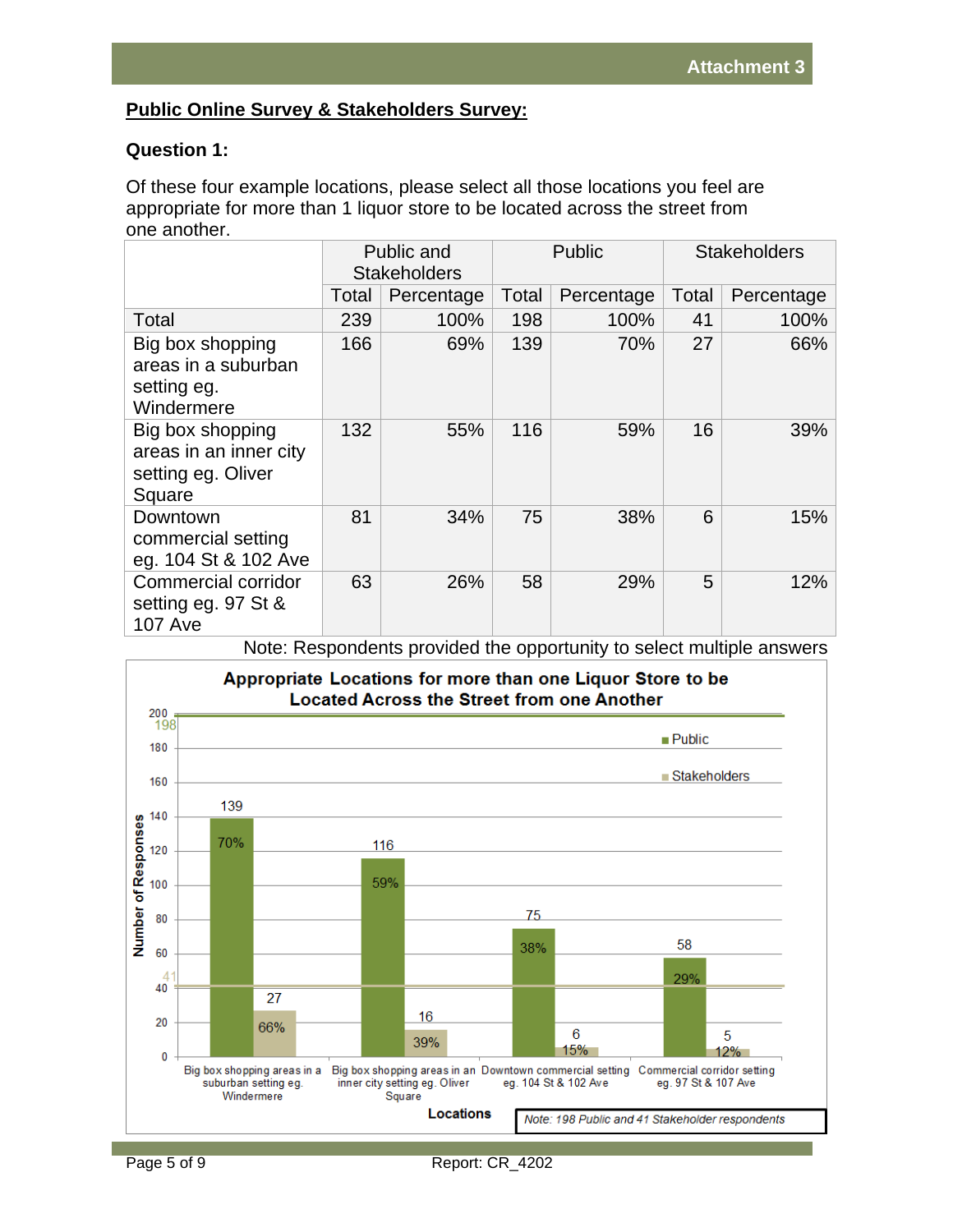# **Public Online Survey & Stakeholders Survey:**

# **Question 1:**

Of these four example locations, please select all those locations you feel are appropriate for more than 1 liquor store to be located across the street from one another.

|                                                                            | Public and<br><b>Stakeholders</b> |            | Public |            | <b>Stakeholders</b> |            |
|----------------------------------------------------------------------------|-----------------------------------|------------|--------|------------|---------------------|------------|
|                                                                            | Total                             | Percentage | Total  | Percentage | Total               | Percentage |
| Total                                                                      | 239                               | 100%       | 198    | 100%       | 41                  | 100%       |
| Big box shopping<br>areas in a suburban<br>setting eg.<br>Windermere       | 166                               | 69%        | 139    | 70%        | 27                  | 66%        |
| Big box shopping<br>areas in an inner city<br>setting eg. Oliver<br>Square | 132                               | 55%        | 116    | 59%        | 16                  | 39%        |
| Downtown<br>commercial setting<br>eg. 104 St & 102 Ave                     | 81                                | 34%        | 75     | 38%        | 6                   | 15%        |
| <b>Commercial corridor</b><br>setting eg. 97 St &<br><b>107 Ave</b>        | 63                                | 26%        | 58     | 29%        | 5                   | 12%        |

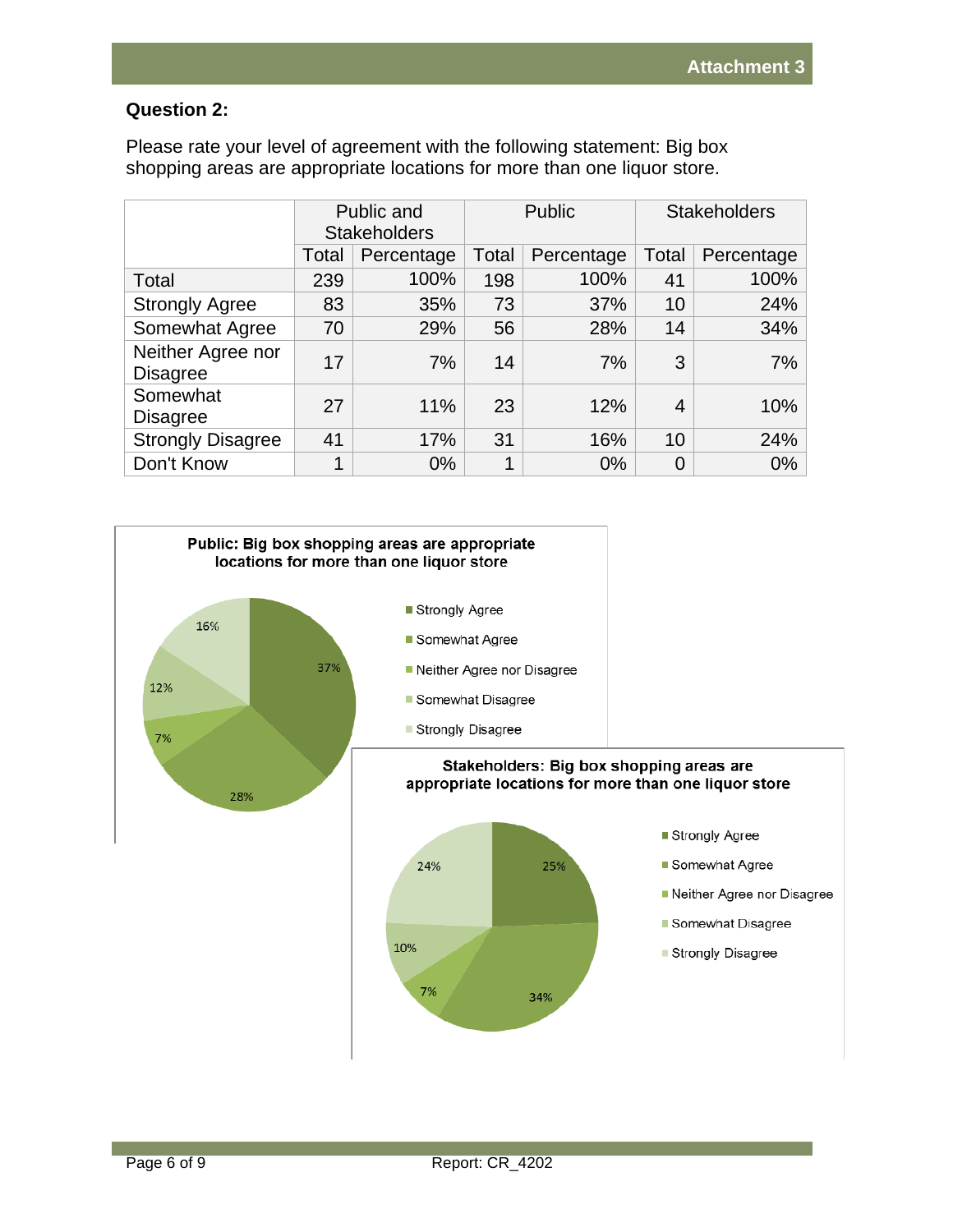### **Question 2:**

Please rate your level of agreement with the following statement: Big box shopping areas are appropriate locations for more than one liquor store.

|                                      |       | Public and<br><b>Stakeholders</b> |       | <b>Public</b> |       | <b>Stakeholders</b> |  |
|--------------------------------------|-------|-----------------------------------|-------|---------------|-------|---------------------|--|
|                                      | Total | Percentage                        | Total | Percentage    | Total | Percentage          |  |
| Total                                | 239   | 100%                              | 198   | 100%          | 41    | 100%                |  |
| <b>Strongly Agree</b>                | 83    | 35%                               | 73    | 37%           | 10    | 24%                 |  |
| Somewhat Agree                       | 70    | 29%                               | 56    | 28%           | 14    | 34%                 |  |
| Neither Agree nor<br><b>Disagree</b> | 17    | 7%                                | 14    | 7%            | 3     | 7%                  |  |
| Somewhat<br><b>Disagree</b>          | 27    | 11%                               | 23    | 12%           | 4     | 10%                 |  |
| <b>Strongly Disagree</b>             | 41    | 17%                               | 31    | 16%           | 10    | 24%                 |  |
| Don't Know                           | 1     | $0\%$                             | 1     | 0%            | 0     | $0\%$               |  |

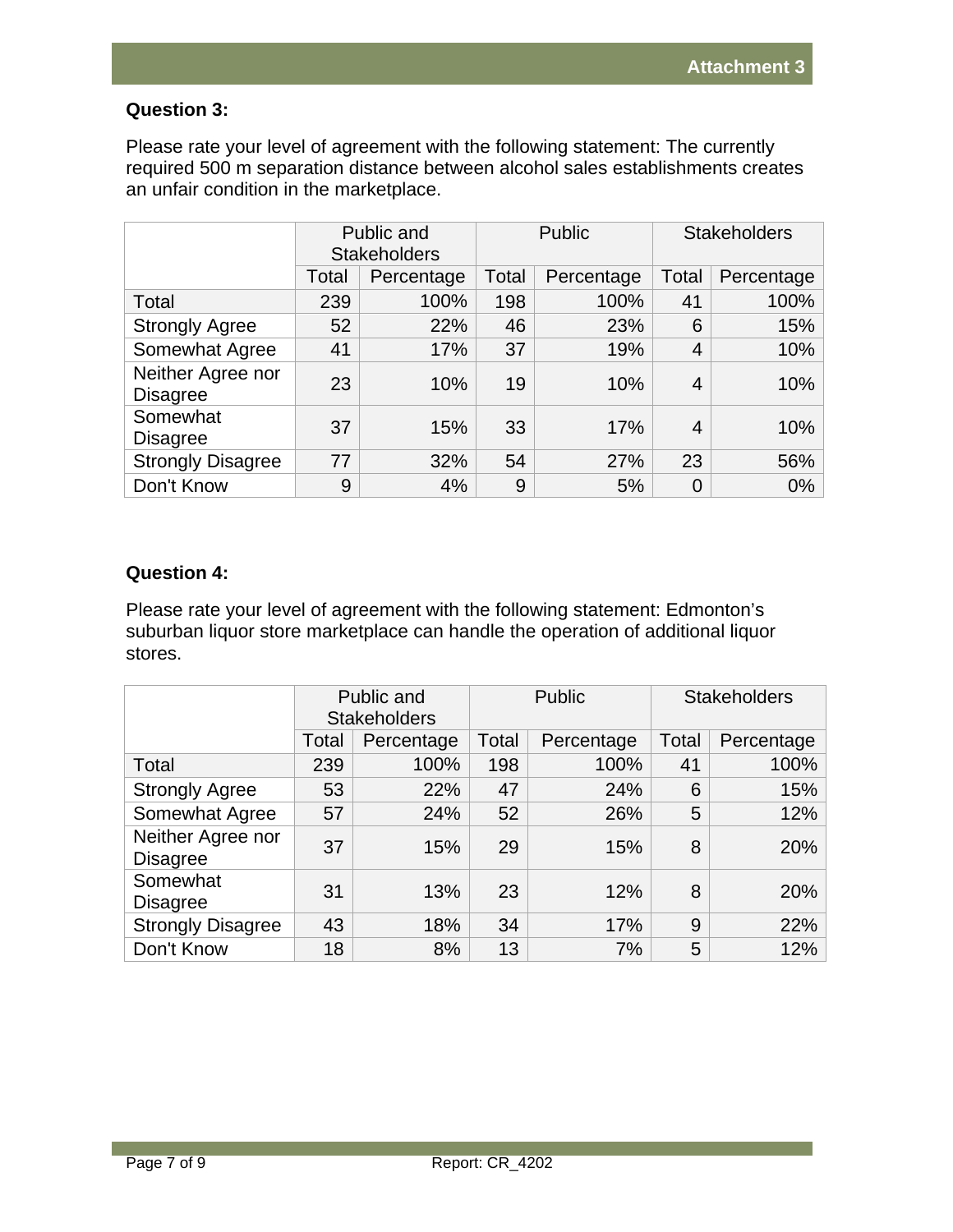# **Question 3:**

Please rate your level of agreement with the following statement: The currently required 500 m separation distance between alcohol sales establishments creates an unfair condition in the marketplace.

|                                      |       | Public and<br><b>Stakeholders</b> |       | <b>Public</b> |       | <b>Stakeholders</b> |  |
|--------------------------------------|-------|-----------------------------------|-------|---------------|-------|---------------------|--|
|                                      | Total | Percentage                        | Total | Percentage    | Total | Percentage          |  |
| Total                                | 239   | 100%                              | 198   | 100%          | 41    | 100%                |  |
| <b>Strongly Agree</b>                | 52    | 22%                               | 46    | 23%           | 6     | 15%                 |  |
| Somewhat Agree                       | 41    | 17%                               | 37    | 19%           | 4     | 10%                 |  |
| Neither Agree nor<br><b>Disagree</b> | 23    | 10%                               | 19    | 10%           | 4     | 10%                 |  |
| Somewhat<br><b>Disagree</b>          | 37    | 15%                               | 33    | 17%           | 4     | 10%                 |  |
| <b>Strongly Disagree</b>             | 77    | 32%                               | 54    | 27%           | 23    | 56%                 |  |
| Don't Know                           | 9     | 4%                                | 9     | 5%            |       | $0\%$               |  |

# **Question 4:**

Please rate your level of agreement with the following statement: Edmonton's suburban liquor store marketplace can handle the operation of additional liquor stores.

|                                      | Public and<br><b>Stakeholders</b> |            |       | <b>Public</b> | <b>Stakeholders</b> |            |  |
|--------------------------------------|-----------------------------------|------------|-------|---------------|---------------------|------------|--|
|                                      | Total                             | Percentage | Total | Percentage    | Total               | Percentage |  |
| Total                                | 239                               | 100%       | 198   | 100%          | 41                  | 100%       |  |
| <b>Strongly Agree</b>                | 53                                | 22%        | 47    | 24%           | 6                   | 15%        |  |
| Somewhat Agree                       | 57                                | 24%        | 52    | 26%           | 5                   | 12%        |  |
| Neither Agree nor<br><b>Disagree</b> | 37                                | 15%        | 29    | 15%           | 8                   | 20%        |  |
| Somewhat<br><b>Disagree</b>          | 31                                | 13%        | 23    | 12%           | 8                   | 20%        |  |
| <b>Strongly Disagree</b>             | 43                                | 18%        | 34    | 17%           | 9                   | 22%        |  |
| Don't Know                           | 18                                | 8%         | 13    | 7%            | 5                   | 12%        |  |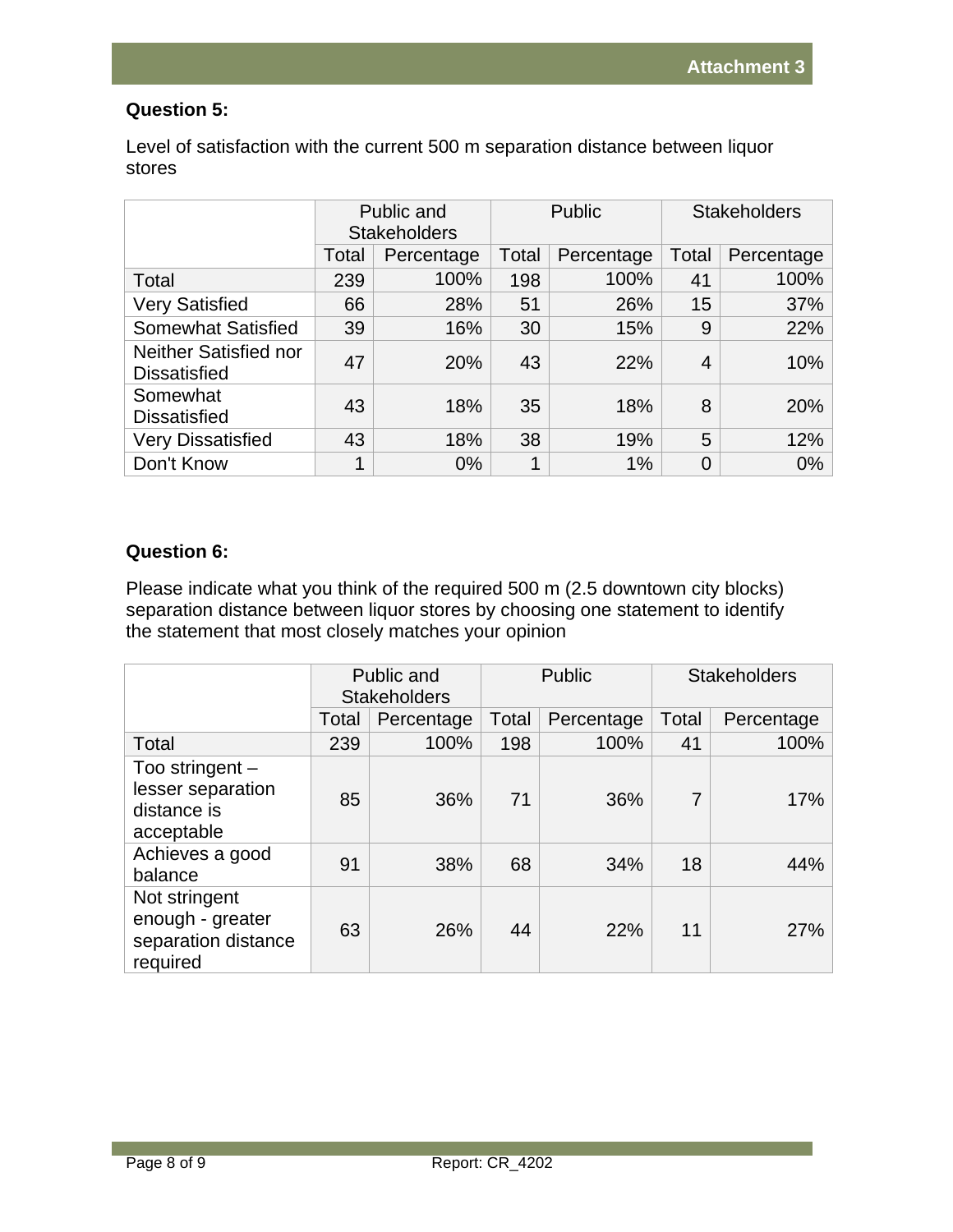# **Question 5:**

Level of satisfaction with the current 500 m separation distance between liquor stores

|                                              | Public and<br><b>Stakeholders</b> |            | Public |            | <b>Stakeholders</b> |            |
|----------------------------------------------|-----------------------------------|------------|--------|------------|---------------------|------------|
|                                              | Total                             | Percentage | Total  | Percentage | Total               | Percentage |
| Total                                        | 239                               | 100%       | 198    | 100%       | 41                  | 100%       |
| <b>Very Satisfied</b>                        | 66                                | 28%        | 51     | 26%        | 15                  | 37%        |
| <b>Somewhat Satisfied</b>                    | 39                                | 16%        | 30     | 15%        | 9                   | 22%        |
| Neither Satisfied nor<br><b>Dissatisfied</b> | 47                                | 20%        | 43     | 22%        | 4                   | 10%        |
| Somewhat<br><b>Dissatisfied</b>              | 43                                | 18%        | 35     | 18%        | 8                   | 20%        |
| <b>Very Dissatisfied</b>                     | 43                                | 18%        | 38     | 19%        | 5                   | 12%        |
| Don't Know                                   | 1                                 | 0%         |        | 1%         | 0                   | $0\%$      |

## **Question 6:**

Please indicate what you think of the required 500 m (2.5 downtown city blocks) separation distance between liquor stores by choosing one statement to identify the statement that most closely matches your opinion

|                                                                      | Public and<br><b>Stakeholders</b> |            | Public |            | <b>Stakeholders</b> |            |
|----------------------------------------------------------------------|-----------------------------------|------------|--------|------------|---------------------|------------|
|                                                                      | Total                             | Percentage | Total  | Percentage | Total               | Percentage |
| Total                                                                | 239                               | 100%       | 198    | 100%       | 41                  | 100%       |
| Too stringent $-$<br>lesser separation<br>distance is<br>acceptable  | 85                                | 36%        | 71     | 36%        | $\overline{7}$      | 17%        |
| Achieves a good<br>balance                                           | 91                                | 38%        | 68     | 34%        | 18                  | 44%        |
| Not stringent<br>enough - greater<br>separation distance<br>required | 63                                | 26%        | 44     | 22%        | 11                  | 27%        |